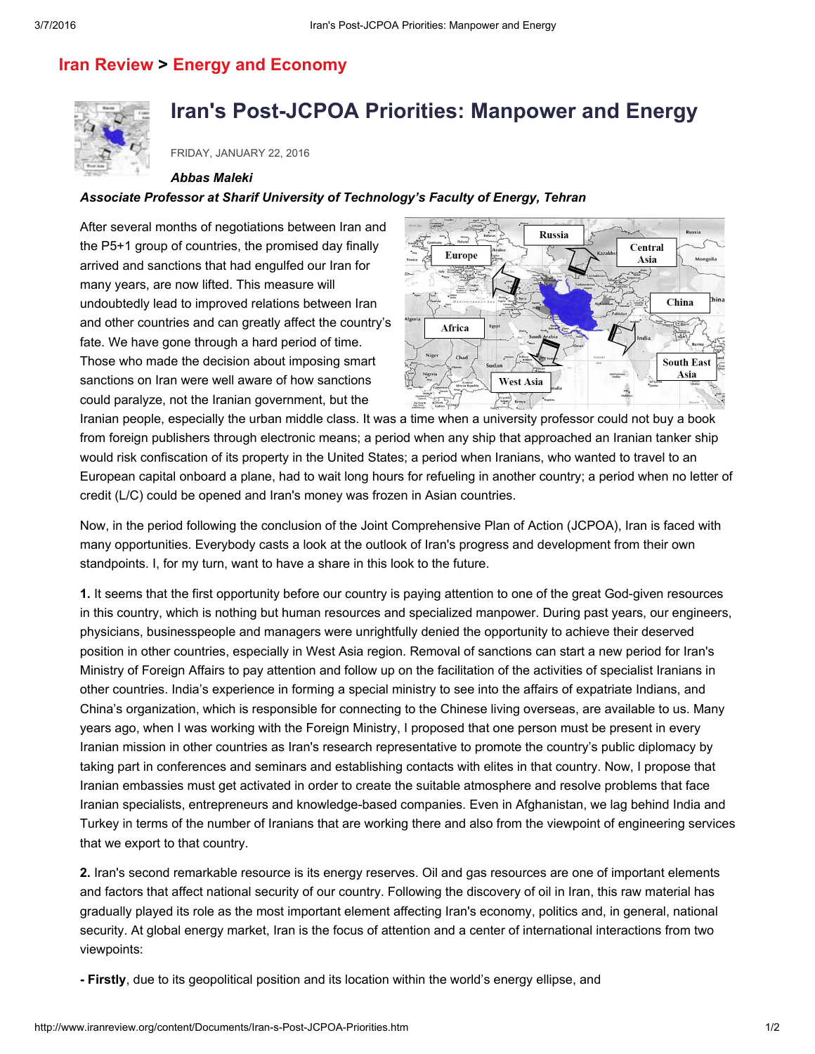## Iran [Review](http://www.iranreview.org/cms/classificationList.aspx?classification=4ce90591-2fa2-4fd5-9c8a-946c9247bc99) > Energy and [Economy](http://www.iranreview.org/cms/classificationList.aspx?classification=8d7e1f5f-3fa9-467c-8fb1-a56ec634d7f2)



# Iran's Post-JCPOA Priorities: Manpower and Energy

FRIDAY, JANUARY 22, 2016

#### *Abbas Maleki*

### *Associate Professor at Sharif University of Technology's Faculty of Energy, Tehran*

After several months of negotiations between Iran and the P5+1 group of countries, the promised day finally arrived and sanctions that had engulfed our Iran for many years, are now lifted. This measure will undoubtedly lead to improved relations between Iran and other countries and can greatly affect the country's fate. We have gone through a hard period of time. Those who made the decision about imposing smart sanctions on Iran were well aware of how sanctions

could paralyze, not the Iranian government, but the



Iranian people, especially the urban middle class. It was a time when a university professor could not buy a book from foreign publishers through electronic means; a period when any ship that approached an Iranian tanker ship would risk confiscation of its property in the United States; a period when Iranians, who wanted to travel to an European capital onboard a plane, had to wait long hours for refueling in another country; a period when no letter of credit (L/C) could be opened and Iran's money was frozen in Asian countries.

Now, in the period following the conclusion of the Joint Comprehensive Plan of Action (JCPOA), Iran is faced with many opportunities. Everybody casts a look at the outlook of Iran's progress and development from their own standpoints. I, for my turn, want to have a share in this look to the future.

1. It seems that the first opportunity before our country is paying attention to one of the great God-given resources in this country, which is nothing but human resources and specialized manpower. During past years, our engineers, physicians, businesspeople and managers were unrightfully denied the opportunity to achieve their deserved position in other countries, especially in West Asia region. Removal of sanctions can start a new period for Iran's Ministry of Foreign Affairs to pay attention and follow up on the facilitation of the activities of specialist Iranians in other countries. India's experience in forming a special ministry to see into the affairs of expatriate Indians, and China's organization, which is responsible for connecting to the Chinese living overseas, are available to us. Many years ago, when I was working with the Foreign Ministry, I proposed that one person must be present in every Iranian mission in other countries as Iran's research representative to promote the country's public diplomacy by taking part in conferences and seminars and establishing contacts with elites in that country. Now, I propose that Iranian embassies must get activated in order to create the suitable atmosphere and resolve problems that face Iranian specialists, entrepreneurs and knowledge-based companies. Even in Afghanistan, we lag behind India and Turkey in terms of the number of Iranians that are working there and also from the viewpoint of engineering services that we export to that country.

2. Iran's second remarkable resource is its energy reserves. Oil and gas resources are one of important elements and factors that affect national security of our country. Following the discovery of oil in Iran, this raw material has gradually played its role as the most important element affecting Iran's economy, politics and, in general, national security. At global energy market, Iran is the focus of attention and a center of international interactions from two viewpoints:

Firstly, due to its geopolitical position and its location within the world's energy ellipse, and